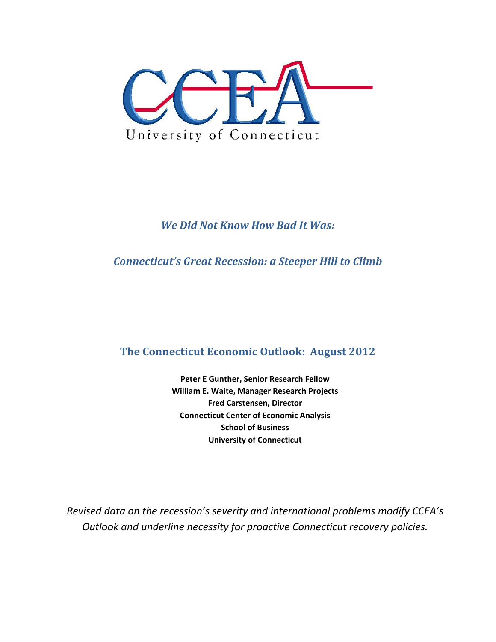

### *We Did Not Know How Bad It Was:*

*Connecticut's Great Recession: a Steeper Hill to Climb*

# **The Connecticut Economic Outlook: August 2012**

**Peter E Gunther, Senior Research Fellow William E. Waite, Manager Research Projects Fred Carstensen, Director Connecticut Center of Economic Analysis School of Business University of Connecticut**

*Revised data on the recession's severity and international problems modify CCEA's Outlook and underline necessity for proactive Connecticut recovery policies.*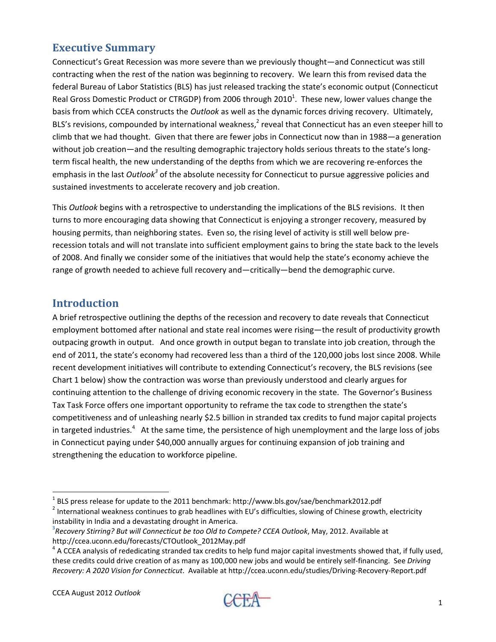### **Executive Summary**

Connecticut's Great Recession was more severe than we previously thought—and Connecticut was still contracting when the rest of the nation was beginning to recovery. We learn this from revised data the federal Bureau of Labor Statistics (BLS) has just released tracking the state's economic output (Connecticut Real Gross Domestic Product or CTRGDP) from 2006 through 2010<sup>1</sup>. These new, lower values change the basis from which CCEA constructs the *Outlook* as well as the dynamic forces driving recovery. Ultimately, BLS's revisions, compounded by international weakness, $^2$  reveal that Connecticut has an even steeper hill to climb that we had thought. Given that there are fewer jobs in Connecticut now than in 1988—a generation without job creation—and the resulting demographic trajectory holds serious threats to the state's longterm fiscal health, the new understanding of the depths from which we are recovering re-enforces the emphasis in the last *Outlook<sup>3</sup>* of the absolute necessity for Connecticut to pursue aggressive policies and sustained investments to accelerate recovery and job creation.

This *Outlook* begins with a retrospective to understanding the implications of the BLS revisions. It then turns to more encouraging data showing that Connecticut is enjoying a stronger recovery, measured by housing permits, than neighboring states. Even so, the rising level of activity is still well below pre‐ recession totals and will not translate into sufficient employment gains to bring the state back to the levels of 2008. And finally we consider some of the initiatives that would help the state's economy achieve the range of growth needed to achieve full recovery and—critically—bend the demographic curve.

#### **Introduction**

A brief retrospective outlining the depths of the recession and recovery to date reveals that Connecticut employment bottomed after national and state real incomes were rising—the result of productivity growth outpacing growth in output. And once growth in output began to translate into job creation, through the end of 2011, the state's economy had recovered less than a third of the 120,000 jobs lost since 2008. While recent development initiatives will contribute to extending Connecticut's recovery, the BLS revisions (see Chart 1 below) show the contraction was worse than previously understood and clearly argues for continuing attention to the challenge of driving economic recovery in the state. The Governor's Business Tax Task Force offers one important opportunity to reframe the tax code to strengthen the state's competitiveness and of unleashing nearly \$2.5 billion in stranded tax credits to fund major capital projects in targeted industries.<sup>4</sup> At the same time, the persistence of high unemployment and the large loss of jobs in Connecticut paying under \$40,000 annually argues for continuing expansion of job training and strengthening the education to workforce pipeline.



 $^{1}$  BLS press release for update to the 2011 benchmark: http://www.bls.gov/sae/benchmark2012.pdf

<sup>&</sup>lt;sup>2</sup> International weakness continues to grab headlines with EU's difficulties, slowing of Chinese growth, electricity instability in India and <sup>a</sup> devastating drought in America. **<sup>3</sup>**

*Recovery Stirring? But will Connecticut be too Old to Compete? CCEA Outlook*, May, 2012. Available at http://ccea.uconn.edu/forecasts/CTOutlook\_2012May.pdf

 $4$  A CCEA analysis of rededicating stranded tax credits to help fund major capital investments showed that, if fully used, these credits could drive creation of as many as 100,000 new jobs and would be entirely self‐financing. See *Driving Recovery: A 2020 Vision for Connecticut*. Available at http://ccea.uconn.edu/studies/Driving‐Recovery‐Report.pdf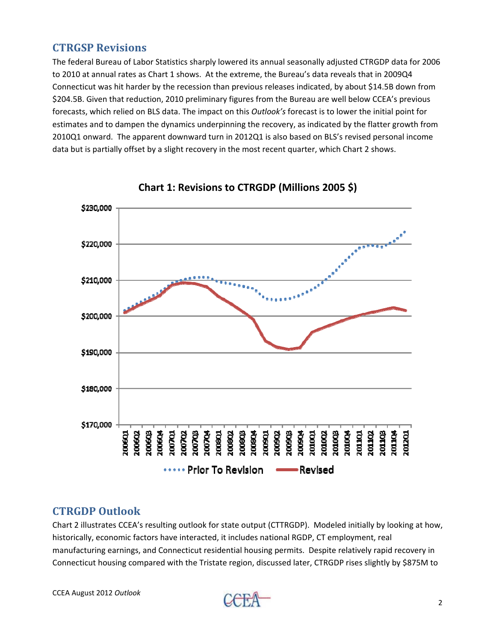### **CTRGSP Revisions**

The federal Bureau of Labor Statistics sharply lowered its annual seasonally adjusted CTRGDP data for 2006 to 2010 at annual rates as Chart 1 shows. At the extreme, the Bureau's data reveals that in 2009Q4 Connecticut was hit harder by the recession than previous releases indicated, by about \$14.5B down from \$204.5B. Given that reduction, 2010 preliminary figures from the Bureau are well below CCEA's previous forecasts, which relied on BLS data. The impact on this *Outlook's* forecast is to lower the initial point for estimates and to dampen the dynamics underpinning the recovery, as indicated by the flatter growth from 2010Q1 onward. The apparent downward turn in 2012Q1 is also based on BLS's revised personal income data but is partially offset by a slight recovery in the most recent quarter, which Chart 2 shows.



**Chart 1: Revisions to CTRGDP (Millions 2005 \$)**

### **CTRGDP Outlook**

Chart 2 illustrates CCEA's resulting outlook for state output (CTTRGDP). Modeled initially by looking at how, historically, economic factors have interacted, it includes national RGDP, CT employment, real manufacturing earnings, and Connecticut residential housing permits. Despite relatively rapid recovery in Connecticut housing compared with the Tristate region, discussed later, CTRGDP rises slightly by \$875M to

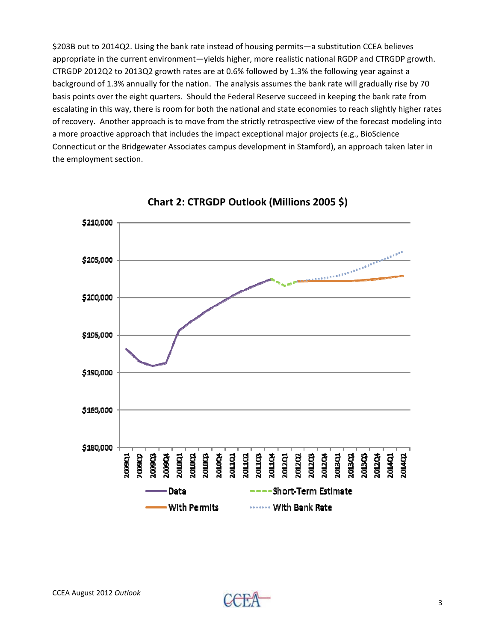\$203B out to 2014Q2. Using the bank rate instead of housing permits—a substitution CCEA believes appropriate in the current environment—yields higher, more realistic national RGDP and CTRGDP growth. CTRGDP 2012Q2 to 2013Q2 growth rates are at 0.6% followed by 1.3% the following year against a background of 1.3% annually for the nation. The analysis assumes the bank rate will gradually rise by 70 basis points over the eight quarters. Should the Federal Reserve succeed in keeping the bank rate from escalating in this way, there is room for both the national and state economies to reach slightly higher rates of recovery. Another approach is to move from the strictly retrospective view of the forecast modeling into a more proactive approach that includes the impact exceptional major projects (e.g., BioScience Connecticut or the Bridgewater Associates campus development in Stamford), an approach taken later in the employment section.



**Chart 2: CTRGDP Outlook (Millions 2005 \$)**

3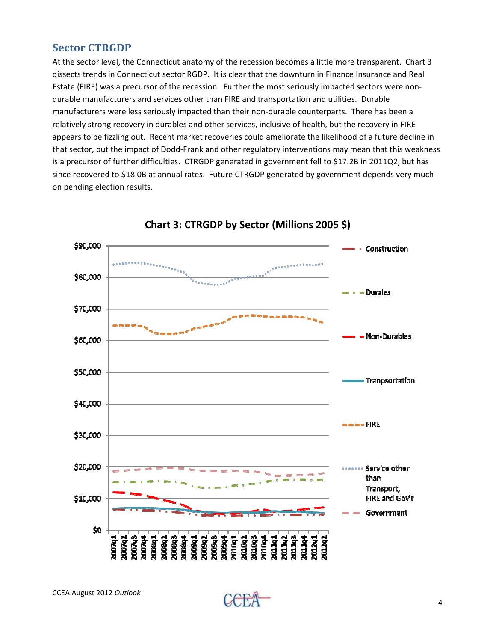### **Sector CTRGDP**

At the sector level, the Connecticut anatomy of the recession becomes a little more transparent. Chart 3 dissects trends in Connecticut sector RGDP. It is clear that the downturn in Finance Insurance and Real Estate (FIRE) was a precursor of the recession. Further the most seriously impacted sectors were non‐ durable manufacturers and services other than FIRE and transportation and utilities. Durable manufacturers were less seriously impacted than their non‐durable counterparts. There has been a relatively strong recovery in durables and other services, inclusive of health, but the recovery in FIRE appears to be fizzling out. Recent market recoveries could ameliorate the likelihood of a future decline in that sector, but the impact of Dodd‐Frank and other regulatory interventions may mean that this weakness is a precursor of further difficulties. CTRGDP generated in government fell to \$17.2B in 2011Q2, but has since recovered to \$18.0B at annual rates. Future CTRGDP generated by government depends very much on pending election results.



**Chart 3: CTRGDP by Sector (Millions 2005 \$)**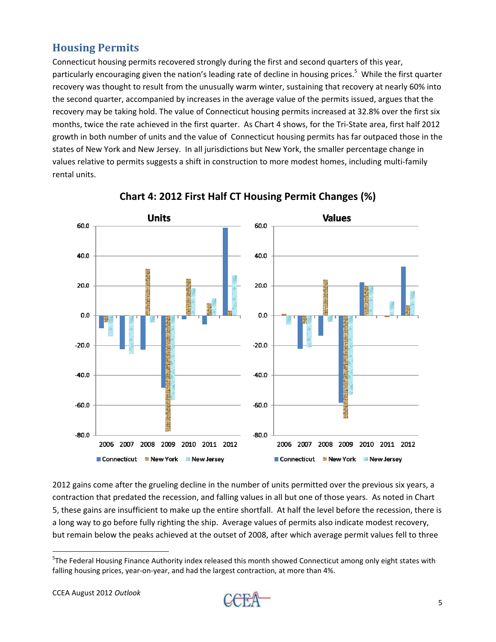## **Housing Permits**

Connecticut housing permits recovered strongly during the first and second quarters of this year, particularly encouraging given the nation's leading rate of decline in housing prices.<sup>5</sup> While the first quarter recovery was thought to result from the unusually warm winter, sustaining that recovery at nearly 60% into the second quarter, accompanied by increases in the average value of the permits issued, argues that the recovery may be taking hold. The value of Connecticut housing permits increased at 32.8% over the first six months, twice the rate achieved in the first quarter. As Chart 4 shows, for the Tri‐State area, first half 2012 growth in both number of units and the value of Connecticut housing permits has far outpaced those in the states of New York and New Jersey. In all jurisdictions but New York, the smaller percentage change in values relative to permits suggests a shift in construction to more modest homes, including multi‐family rental units.



**Chart 4: 2012 First Half CT Housing Permit Changes (%)**

2012 gains come after the grueling decline in the number of units permitted over the previous six years, a contraction that predated the recession, and falling values in all but one of those years. As noted in Chart 5, these gains are insufficient to make up the entire shortfall. At half the level before the recession, there is a long way to go before fully righting the ship. Average values of permits also indicate modest recovery, but remain below the peaks achieved at the outset of 2008, after which average permit values fell to three



<sup>&</sup>lt;sup>5</sup>The Federal Housing Finance Authority index released this month showed Connecticut among only eight states with falling housing prices, year-on-year, and had the largest contraction, at more than 4%.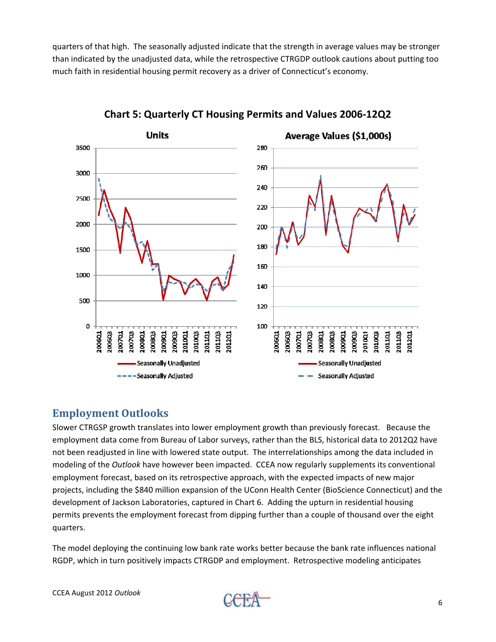quarters of that high. The seasonally adjusted indicate that the strength in average values may be stronger than indicated by the unadjusted data, while the retrospective CTRGDP outlook cautions about putting too much faith in residential housing permit recovery as a driver of Connecticut's economy.



**Chart 5: Quarterly CT Housing Permits and Values 2006‐12Q2**

#### **Employment Outlooks**

Slower CTRGSP growth translates into lower employment growth than previously forecast. Because the employment data come from Bureau of Labor surveys, rather than the BLS, historical data to 2012Q2 have not been readjusted in line with lowered state output. The interrelationships among the data included in modeling of the *Outlook* have however been impacted. CCEA now regularly supplements its conventional employment forecast, based on its retrospective approach, with the expected impacts of new major projects, including the \$840 million expansion of the UConn Health Center (BioScience Connecticut) and the development of Jackson Laboratories, captured in Chart 6. Adding the upturn in residential housing permits prevents the employment forecast from dipping further than a couple of thousand over the eight quarters.

The model deploying the continuing low bank rate works better because the bank rate influences national RGDP, which in turn positively impacts CTRGDP and employment. Retrospective modeling anticipates

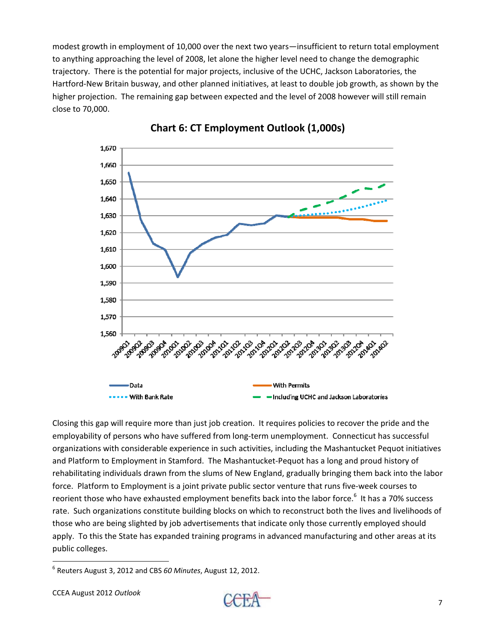modest growth in employment of 10,000 over the next two years—insufficient to return total employment to anything approaching the level of 2008, let alone the higher level need to change the demographic trajectory. There is the potential for major projects, inclusive of the UCHC, Jackson Laboratories, the Hartford‐New Britain busway, and other planned initiatives, at least to double job growth, as shown by the higher projection. The remaining gap between expected and the level of 2008 however will still remain close to 70,000.



#### **Chart 6: CT Employment Outlook (1,000s)**

Closing this gap will require more than just job creation. It requires policies to recover the pride and the employability of persons who have suffered from long-term unemployment. Connecticut has successful organizations with considerable experience in such activities, including the Mashantucket Pequot initiatives and Platform to Employment in Stamford. The Mashantucket‐Pequot has a long and proud history of rehabilitating individuals drawn from the slums of New England, gradually bringing them back into the labor force. Platform to Employment is a joint private public sector venture that runs five-week courses to reorient those who have exhausted employment benefits back into the labor force.<sup>6</sup> It has a 70% success rate. Such organizations constitute building blocks on which to reconstruct both the lives and livelihoods of those who are being slighted by job advertisements that indicate only those currently employed should apply. To this the State has expanded training programs in advanced manufacturing and other areas at its public colleges.



 <sup>6</sup> Reuters August 3, 2012 and CBS *60 Minutes*, August 12, 2012.